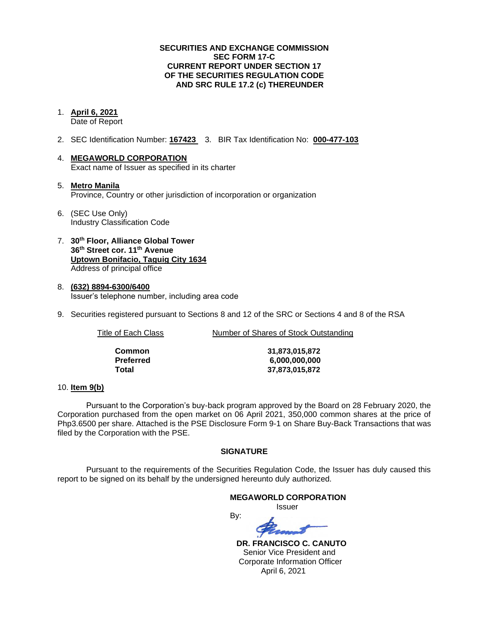## **SECURITIES AND EXCHANGE COMMISSION SEC FORM 17-C CURRENT REPORT UNDER SECTION 17 OF THE SECURITIES REGULATION CODE AND SRC RULE 17.2 (c) THEREUNDER**

### 1. **April 6, 2021**

Date of Report

- 2. SEC Identification Number: **167423** 3. BIR Tax Identification No: **000-477-103**
- 4. **MEGAWORLD CORPORATION** Exact name of Issuer as specified in its charter
- 5. **Metro Manila** Province, Country or other jurisdiction of incorporation or organization
- 6. (SEC Use Only) Industry Classification Code
- 7. **30th Floor, Alliance Global Tower 36th Street cor. 11th Avenue Uptown Bonifacio, Taguig City 1634** Address of principal office
- 8. **(632) 8894-6300/6400** Issuer's telephone number, including area code
- 9. Securities registered pursuant to Sections 8 and 12 of the SRC or Sections 4 and 8 of the RSA

Title of Each Class Number of Shares of Stock Outstanding

| Common    |
|-----------|
| Preferred |
| Total     |

**Common 31,873,015,872 Preferred 6,000,000,000 Total 37,873,015,872**

#### 10. **Item 9(b)**

Pursuant to the Corporation's buy-back program approved by the Board on 28 February 2020, the Corporation purchased from the open market on 06 April 2021, 350,000 common shares at the price of Php3.6500 per share. Attached is the PSE Disclosure Form 9-1 on Share Buy-Back Transactions that was filed by the Corporation with the PSE.

## **SIGNATURE**

Pursuant to the requirements of the Securities Regulation Code, the Issuer has duly caused this report to be signed on its behalf by the undersigned hereunto duly authorized.

By:

## **MEGAWORLD CORPORATION**

Issuer

 **DR. FRANCISCO C. CANUTO** Senior Vice President and Corporate Information Officer April 6, 2021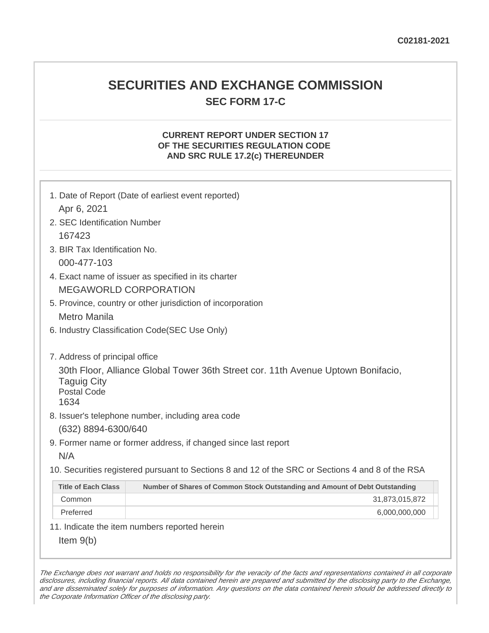## **SECURITIES AND EXCHANGE COMMISSION SEC FORM 17-C**

## **CURRENT REPORT UNDER SECTION 17 OF THE SECURITIES REGULATION CODE AND SRC RULE 17.2(c) THEREUNDER**

| 1. Date of Report (Date of earliest event reported)<br>Apr 6, 2021                                                                                                     |                                                                                                   |  |  |  |
|------------------------------------------------------------------------------------------------------------------------------------------------------------------------|---------------------------------------------------------------------------------------------------|--|--|--|
| 2. SEC Identification Number                                                                                                                                           |                                                                                                   |  |  |  |
| 167423                                                                                                                                                                 |                                                                                                   |  |  |  |
| 3. BIR Tax Identification No.                                                                                                                                          |                                                                                                   |  |  |  |
| 000-477-103                                                                                                                                                            |                                                                                                   |  |  |  |
| 4. Exact name of issuer as specified in its charter                                                                                                                    |                                                                                                   |  |  |  |
| <b>MEGAWORLD CORPORATION</b>                                                                                                                                           |                                                                                                   |  |  |  |
| 5. Province, country or other jurisdiction of incorporation                                                                                                            |                                                                                                   |  |  |  |
| <b>Metro Manila</b>                                                                                                                                                    |                                                                                                   |  |  |  |
|                                                                                                                                                                        | 6. Industry Classification Code(SEC Use Only)                                                     |  |  |  |
| 7. Address of principal office<br>30th Floor, Alliance Global Tower 36th Street cor. 11th Avenue Uptown Bonifacio,<br><b>Taguig City</b><br><b>Postal Code</b><br>1634 |                                                                                                   |  |  |  |
|                                                                                                                                                                        | 8. Issuer's telephone number, including area code<br>(632) 8894-6300/640                          |  |  |  |
|                                                                                                                                                                        | 9. Former name or former address, if changed since last report                                    |  |  |  |
| N/A                                                                                                                                                                    |                                                                                                   |  |  |  |
|                                                                                                                                                                        | 10. Securities registered pursuant to Sections 8 and 12 of the SRC or Sections 4 and 8 of the RSA |  |  |  |
| <b>Title of Each Class</b>                                                                                                                                             | Number of Shares of Common Stock Outstanding and Amount of Debt Outstanding                       |  |  |  |
| Common                                                                                                                                                                 | 31,873,015,872                                                                                    |  |  |  |
| Preferred                                                                                                                                                              | 6,000,000,000                                                                                     |  |  |  |
|                                                                                                                                                                        | 11. Indicate the item numbers reported herein                                                     |  |  |  |
| Item $9(b)$                                                                                                                                                            |                                                                                                   |  |  |  |

The Exchange does not warrant and holds no responsibility for the veracity of the facts and representations contained in all corporate disclosures, including financial reports. All data contained herein are prepared and submitted by the disclosing party to the Exchange, and are disseminated solely for purposes of information. Any questions on the data contained herein should be addressed directly to the Corporate Information Officer of the disclosing party.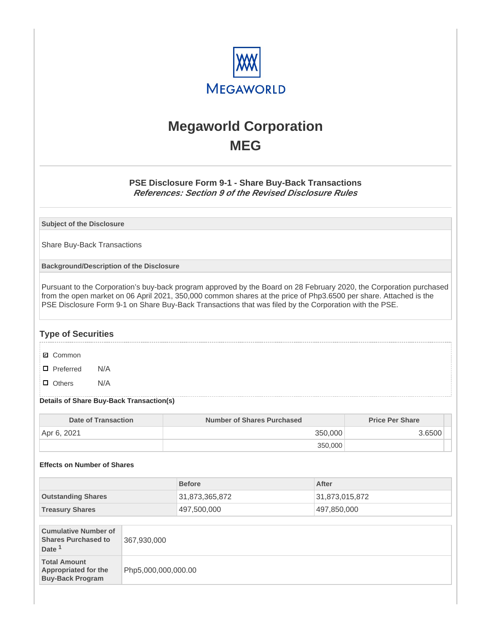

# **Megaworld Corporation MEG**

## **PSE Disclosure Form 9-1 - Share Buy-Back Transactions References: Section 9 of the Revised Disclosure Rules**

**Subject of the Disclosure**

Share Buy-Back Transactions

**Background/Description of the Disclosure**

Pursuant to the Corporation's buy-back program approved by the Board on 28 February 2020, the Corporation purchased from the open market on 06 April 2021, 350,000 common shares at the price of Php3.6500 per share. Attached is the PSE Disclosure Form 9-1 on Share Buy-Back Transactions that was filed by the Corporation with the PSE.

## **Type of Securities**

- **☑** Common
- □ Preferred N/A
- D Others N/A

#### **Details of Share Buy-Back Transaction(s)**

| Date of Transaction | <b>Number of Shares Purchased</b> | <b>Price Per Share</b> |
|---------------------|-----------------------------------|------------------------|
| Apr 6, 2021         | 350,000                           | 3.6500                 |
|                     | 350,000                           |                        |

#### **Effects on Number of Shares**

|                           | <b>Before</b>  | After          |
|---------------------------|----------------|----------------|
| <b>Outstanding Shares</b> | 31,873,365,872 | 31,873,015,872 |
| <b>Treasury Shares</b>    | 497,500,000    | 497,850,000    |

| <b>Cumulative Number of</b><br><b>Shares Purchased to</b><br>Date <sup>1</sup> | 367,930,000         |
|--------------------------------------------------------------------------------|---------------------|
| <b>Total Amount</b><br><b>Appropriated for the</b><br><b>Buy-Back Program</b>  | Php5,000,000,000.00 |